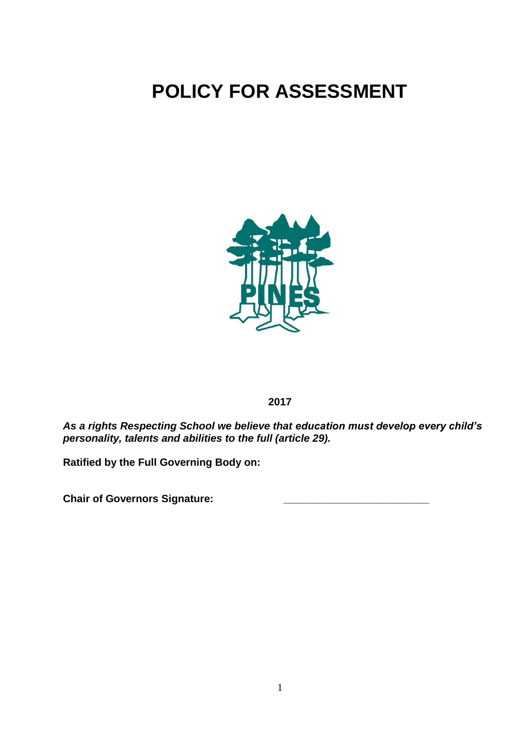# **POLICY FOR ASSESSMENT**



**2017**

*As a rights Respecting School we believe that education must develop every child's personality, talents and abilities to the full (article 29).*

**Ratified by the Full Governing Body on:**

**Chair of Governors Signature: \_\_\_\_\_\_\_\_\_\_\_\_\_\_\_\_\_\_\_\_\_\_\_\_\_**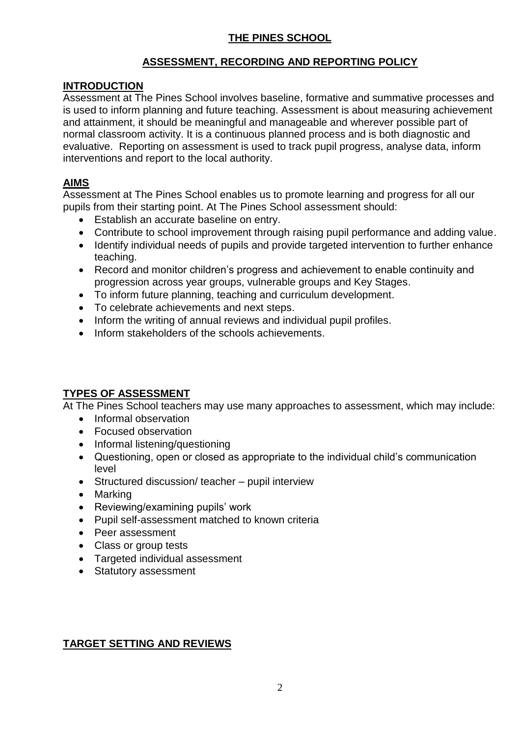## **THE PINES SCHOOL**

## **ASSESSMENT, RECORDING AND REPORTING POLICY**

#### **INTRODUCTION**

Assessment at The Pines School involves baseline, formative and summative processes and is used to inform planning and future teaching. Assessment is about measuring achievement and attainment, it should be meaningful and manageable and wherever possible part of normal classroom activity. It is a continuous planned process and is both diagnostic and evaluative. Reporting on assessment is used to track pupil progress, analyse data, inform interventions and report to the local authority.

#### **AIMS**

Assessment at The Pines School enables us to promote learning and progress for all our pupils from their starting point. At The Pines School assessment should:

- Establish an accurate baseline on entry.
- Contribute to school improvement through raising pupil performance and adding value.
- Identify individual needs of pupils and provide targeted intervention to further enhance teaching.
- Record and monitor children's progress and achievement to enable continuity and progression across year groups, vulnerable groups and Key Stages.
- To inform future planning, teaching and curriculum development.
- To celebrate achievements and next steps.
- Inform the writing of annual reviews and individual pupil profiles.
- Inform stakeholders of the schools achievements.

## **TYPES OF ASSESSMENT**

At The Pines School teachers may use many approaches to assessment, which may include:

- Informal observation
- Focused observation
- Informal listening/questioning
- Questioning, open or closed as appropriate to the individual child's communication level
- Structured discussion/ teacher pupil interview
- Marking
- Reviewing/examining pupils' work
- Pupil self-assessment matched to known criteria
- Peer assessment
- Class or group tests
- Targeted individual assessment
- Statutory assessment

## **TARGET SETTING AND REVIEWS**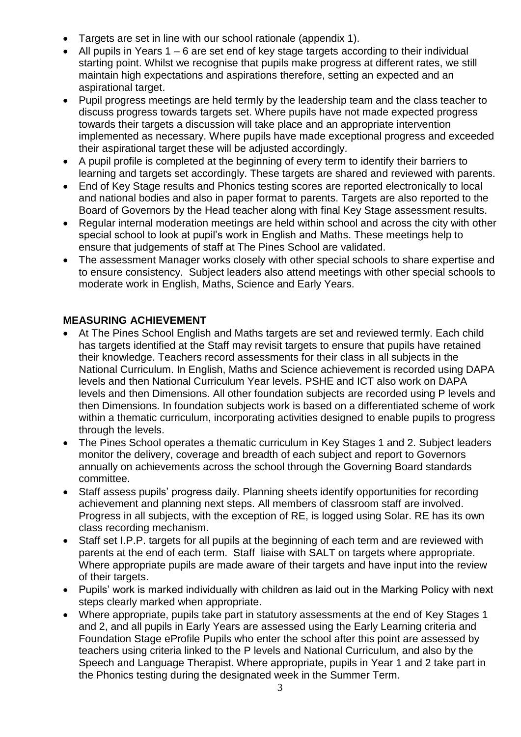- Targets are set in line with our school rationale (appendix 1).
- All pupils in Years 1 6 are set end of key stage targets according to their individual starting point. Whilst we recognise that pupils make progress at different rates, we still maintain high expectations and aspirations therefore, setting an expected and an aspirational target.
- Pupil progress meetings are held termly by the leadership team and the class teacher to discuss progress towards targets set. Where pupils have not made expected progress towards their targets a discussion will take place and an appropriate intervention implemented as necessary. Where pupils have made exceptional progress and exceeded their aspirational target these will be adjusted accordingly.
- A pupil profile is completed at the beginning of every term to identify their barriers to learning and targets set accordingly. These targets are shared and reviewed with parents.
- End of Key Stage results and Phonics testing scores are reported electronically to local and national bodies and also in paper format to parents. Targets are also reported to the Board of Governors by the Head teacher along with final Key Stage assessment results.
- Regular internal moderation meetings are held within school and across the city with other special school to look at pupil's work in English and Maths. These meetings help to ensure that judgements of staff at The Pines School are validated.
- The assessment Manager works closely with other special schools to share expertise and to ensure consistency. Subject leaders also attend meetings with other special schools to moderate work in English, Maths, Science and Early Years.

## **MEASURING ACHIEVEMENT**

- At The Pines School English and Maths targets are set and reviewed termly. Each child has targets identified at the Staff may revisit targets to ensure that pupils have retained their knowledge. Teachers record assessments for their class in all subjects in the National Curriculum. In English, Maths and Science achievement is recorded using DAPA levels and then National Curriculum Year levels. PSHE and ICT also work on DAPA levels and then Dimensions. All other foundation subjects are recorded using P levels and then Dimensions. In foundation subjects work is based on a differentiated scheme of work within a thematic curriculum, incorporating activities designed to enable pupils to progress through the levels.
- The Pines School operates a thematic curriculum in Key Stages 1 and 2. Subject leaders monitor the delivery, coverage and breadth of each subject and report to Governors annually on achievements across the school through the Governing Board standards committee.
- Staff assess pupils' progress daily. Planning sheets identify opportunities for recording achievement and planning next steps. All members of classroom staff are involved. Progress in all subjects, with the exception of RE, is logged using Solar. RE has its own class recording mechanism.
- Staff set I.P.P. targets for all pupils at the beginning of each term and are reviewed with parents at the end of each term. Staff liaise with SALT on targets where appropriate. Where appropriate pupils are made aware of their targets and have input into the review of their targets.
- Pupils' work is marked individually with children as laid out in the Marking Policy with next steps clearly marked when appropriate.
- Where appropriate, pupils take part in statutory assessments at the end of Key Stages 1 and 2, and all pupils in Early Years are assessed using the Early Learning criteria and Foundation Stage eProfile Pupils who enter the school after this point are assessed by teachers using criteria linked to the P levels and National Curriculum, and also by the Speech and Language Therapist. Where appropriate, pupils in Year 1 and 2 take part in the Phonics testing during the designated week in the Summer Term.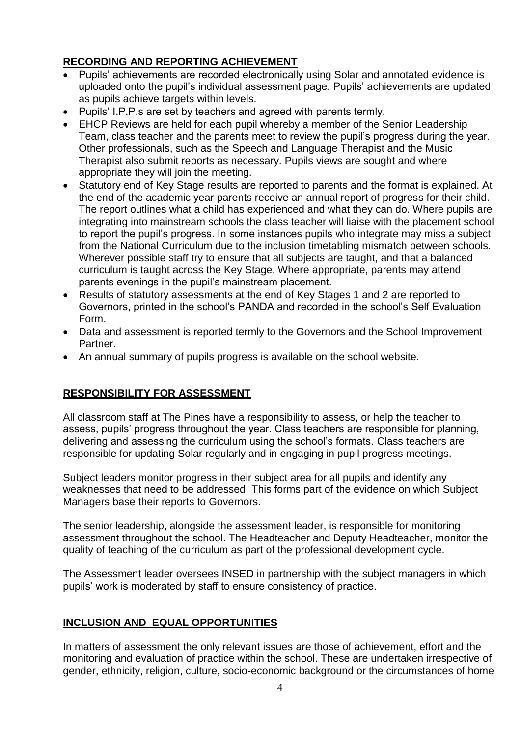## **RECORDING AND REPORTING ACHIEVEMENT**

- Pupils' achievements are recorded electronically using Solar and annotated evidence is uploaded onto the pupil's individual assessment page. Pupils' achievements are updated as pupils achieve targets within levels.
- Pupils' I.P.P.s are set by teachers and agreed with parents termly.
- EHCP Reviews are held for each pupil whereby a member of the Senior Leadership Team, class teacher and the parents meet to review the pupil's progress during the year. Other professionals, such as the Speech and Language Therapist and the Music Therapist also submit reports as necessary. Pupils views are sought and where appropriate they will join the meeting.
- Statutory end of Key Stage results are reported to parents and the format is explained. At the end of the academic year parents receive an annual report of progress for their child. The report outlines what a child has experienced and what they can do. Where pupils are integrating into mainstream schools the class teacher will liaise with the placement school to report the pupil's progress. In some instances pupils who integrate may miss a subject from the National Curriculum due to the inclusion timetabling mismatch between schools. Wherever possible staff try to ensure that all subjects are taught, and that a balanced curriculum is taught across the Key Stage. Where appropriate, parents may attend parents evenings in the pupil's mainstream placement.
- Results of statutory assessments at the end of Key Stages 1 and 2 are reported to Governors, printed in the school's PANDA and recorded in the school's Self Evaluation Form.
- Data and assessment is reported termly to the Governors and the School Improvement Partner.
- An annual summary of pupils progress is available on the school website.

## **RESPONSIBILITY FOR ASSESSMENT**

All classroom staff at The Pines have a responsibility to assess, or help the teacher to assess, pupils' progress throughout the year. Class teachers are responsible for planning, delivering and assessing the curriculum using the school's formats. Class teachers are responsible for updating Solar regularly and in engaging in pupil progress meetings.

Subject leaders monitor progress in their subject area for all pupils and identify any weaknesses that need to be addressed. This forms part of the evidence on which Subject Managers base their reports to Governors.

The senior leadership, alongside the assessment leader, is responsible for monitoring assessment throughout the school. The Headteacher and Deputy Headteacher, monitor the quality of teaching of the curriculum as part of the professional development cycle.

The Assessment leader oversees INSED in partnership with the subject managers in which pupils' work is moderated by staff to ensure consistency of practice.

## **INCLUSION AND EQUAL OPPORTUNITIES**

In matters of assessment the only relevant issues are those of achievement, effort and the monitoring and evaluation of practice within the school. These are undertaken irrespective of gender, ethnicity, religion, culture, socio-economic background or the circumstances of home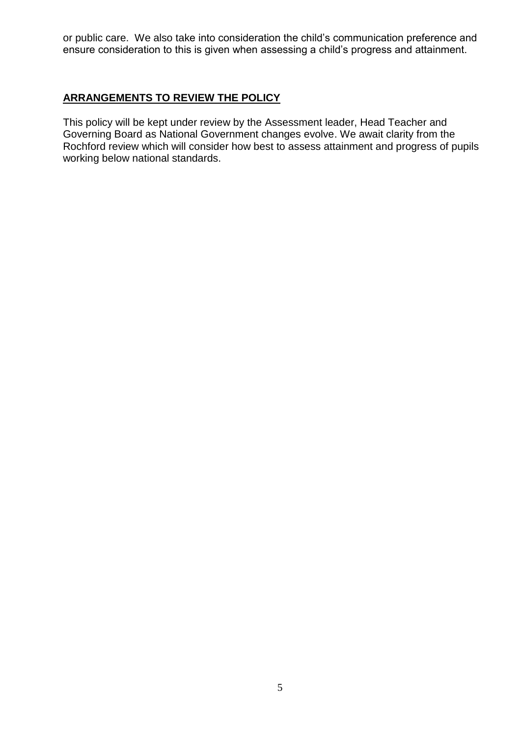or public care. We also take into consideration the child's communication preference and ensure consideration to this is given when assessing a child's progress and attainment.

## **ARRANGEMENTS TO REVIEW THE POLICY**

This policy will be kept under review by the Assessment leader, Head Teacher and Governing Board as National Government changes evolve. We await clarity from the Rochford review which will consider how best to assess attainment and progress of pupils working below national standards.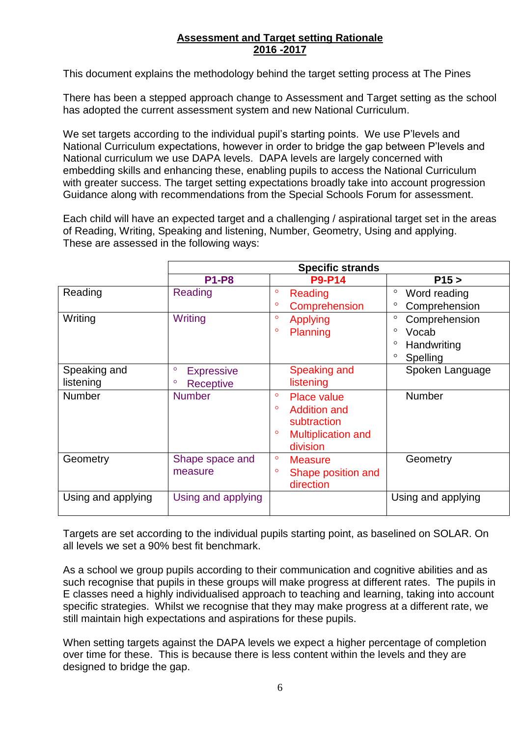## **Assessment and Target setting Rationale 2016 -2017**

This document explains the methodology behind the target setting process at The Pines

There has been a stepped approach change to Assessment and Target setting as the school has adopted the current assessment system and new National Curriculum.

We set targets according to the individual pupil's starting points. We use P'levels and National Curriculum expectations, however in order to bridge the gap between P'levels and National curriculum we use DAPA levels. DAPA levels are largely concerned with embedding skills and enhancing these, enabling pupils to access the National Curriculum with greater success. The target setting expectations broadly take into account progression Guidance along with recommendations from the Special Schools Forum for assessment.

Each child will have an expected target and a challenging / aspirational target set in the areas of Reading, Writing, Speaking and listening, Number, Geometry, Using and applying. These are assessed in the following ways:

|                    | <b>Specific strands</b>      |                                      |                          |  |  |
|--------------------|------------------------------|--------------------------------------|--------------------------|--|--|
|                    | <b>P1-P8</b>                 | <b>P9-P14</b>                        | P15 >                    |  |  |
| Reading            | Reading                      | $\circ$<br>Reading                   | $\circ$<br>Word reading  |  |  |
|                    |                              | $\circ$<br>Comprehension             | $\circ$<br>Comprehension |  |  |
| Writing            | Writing                      | $\circ$<br>Applying                  | O<br>Comprehension       |  |  |
|                    |                              | $\circ$<br>Planning                  | $\circ$<br>Vocab         |  |  |
|                    |                              |                                      | $\circ$<br>Handwriting   |  |  |
|                    |                              |                                      | $\circ$<br>Spelling      |  |  |
| Speaking and       | $\circ$<br><b>Expressive</b> | Speaking and                         | Spoken Language          |  |  |
| listening          | <b>Receptive</b><br>$\circ$  | listening                            |                          |  |  |
| <b>Number</b>      | <b>Number</b>                | $\circ$<br><b>Place value</b>        | <b>Number</b>            |  |  |
|                    |                              | $\circ$<br><b>Addition and</b>       |                          |  |  |
|                    |                              | subtraction                          |                          |  |  |
|                    |                              | $\circ$<br><b>Multiplication and</b> |                          |  |  |
|                    |                              | division                             |                          |  |  |
| Geometry           | Shape space and              | $\circ$<br><b>Measure</b>            | Geometry                 |  |  |
|                    | measure                      | $\circ$<br>Shape position and        |                          |  |  |
|                    |                              | direction                            |                          |  |  |
| Using and applying | Using and applying           |                                      | Using and applying       |  |  |
|                    |                              |                                      |                          |  |  |

Targets are set according to the individual pupils starting point, as baselined on SOLAR. On all levels we set a 90% best fit benchmark.

As a school we group pupils according to their communication and cognitive abilities and as such recognise that pupils in these groups will make progress at different rates. The pupils in E classes need a highly individualised approach to teaching and learning, taking into account specific strategies. Whilst we recognise that they may make progress at a different rate, we still maintain high expectations and aspirations for these pupils.

When setting targets against the DAPA levels we expect a higher percentage of completion over time for these. This is because there is less content within the levels and they are designed to bridge the gap.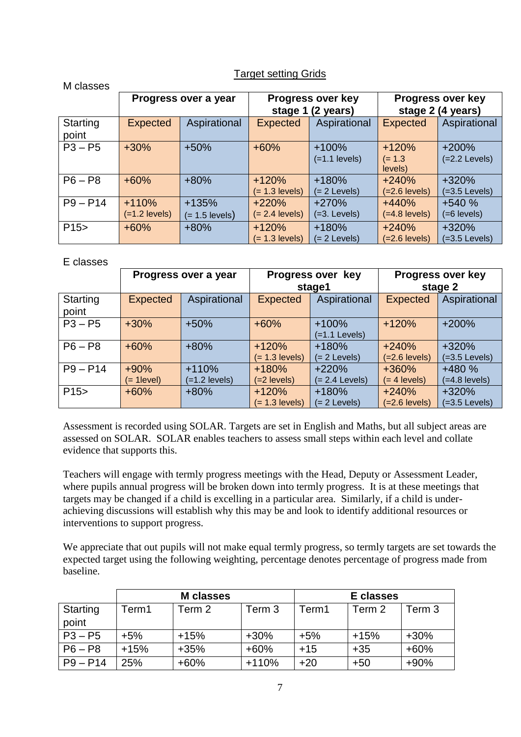## Target setting Grids

| בספסט ועו         |                            |                             |                             |                                       |                                               |                            |
|-------------------|----------------------------|-----------------------------|-----------------------------|---------------------------------------|-----------------------------------------------|----------------------------|
|                   | Progress over a year       |                             | stage 1                     | <b>Progress over key</b><br>(2 years) | <b>Progress over key</b><br>stage 2 (4 years) |                            |
| Starting<br>point | <b>Expected</b>            | Aspirational                | <b>Expected</b>             | Aspirational                          | <b>Expected</b>                               | Aspirational               |
| $P3 - P5$         | $+30%$                     | $+50%$                      | $+60%$                      | $+100%$<br>$(=1.1$ levels)            | $+120%$<br>$(= 1.3)$<br>levels)               | $+200%$<br>$(=2.2$ Levels) |
| $P6 - P8$         | $+60%$                     | $+80%$                      | $+120%$<br>$(= 1.3$ levels) | $+180%$<br>$(= 2$ Levels)             | $+240%$<br>$(=2.6$ levels)                    | +320%<br>$(=3.5$ Levels)   |
| $P9 - P14$        | $+110%$<br>$(=1.2$ levels) | $+135%$<br>$(= 1.5$ levels) | $+220%$<br>$(= 2.4$ levels) | $+270%$<br>$(=3.$ Levels)             | $+440%$<br>$(=4.8$ levels)                    | $+540%$<br>$(=6$ levels)   |
| P15               | $+60%$                     | $+80%$                      | $+120%$<br>$(= 1.3$ levels) | $+180%$<br>$(= 2$ Levels)             | $+240%$<br>$(=2.6$ levels)                    | $+320%$<br>$(=3.5$ Levels) |

#### E classes

M classes

|                   | Progress over a year |                            | Progress over key<br>stage1 |                             | <b>Progress over key</b><br>stage 2 |                            |
|-------------------|----------------------|----------------------------|-----------------------------|-----------------------------|-------------------------------------|----------------------------|
| Starting<br>point | Expected             | Aspirational               | <b>Expected</b>             | Aspirational                | <b>Expected</b>                     | Aspirational               |
| $P3 - P5$         | $+30%$               | $+50%$                     | $+60%$                      | $+100%$<br>$(=1.1$ Levels)  | $+120%$                             | $+200%$                    |
| $P6 - P8$         | $+60%$               | $+80%$                     | $+120%$<br>$(= 1.3$ levels) | $+180%$<br>$(= 2$ Levels)   | $+240%$<br>$(=2.6$ levels)          | +320%<br>$(=3.5$ Levels)   |
| $P9 - P14$        | $+90%$<br>(= 1level) | $+110%$<br>$(=1.2$ levels) | $+180%$<br>$(=2$ levels)    | $+220%$<br>$(= 2.4$ Levels) | $+360%$<br>(= 4 levels)             | $+480%$<br>$(=4.8$ levels) |
| P15               | $+60%$               | $+80%$                     | $+120%$<br>$(= 1.3$ levels) | $+180%$<br>$(= 2$ Levels)   | $+240%$<br>$(=2.6$ levels)          | +320%<br>$(=3.5$ Levels)   |

Assessment is recorded using SOLAR. Targets are set in English and Maths, but all subject areas are assessed on SOLAR. SOLAR enables teachers to assess small steps within each level and collate evidence that supports this.

Teachers will engage with termly progress meetings with the Head, Deputy or Assessment Leader, where pupils annual progress will be broken down into termly progress. It is at these meetings that targets may be changed if a child is excelling in a particular area. Similarly, if a child is underachieving discussions will establish why this may be and look to identify additional resources or interventions to support progress.

We appreciate that out pupils will not make equal termly progress, so termly targets are set towards the expected target using the following weighting, percentage denotes percentage of progress made from baseline.

|            | <b>M</b> classes |        |         | E classes |        |        |
|------------|------------------|--------|---------|-----------|--------|--------|
| Starting   | Term1            | Term 2 | Term 3  | Term1     | Term 2 | Term 3 |
| point      |                  |        |         |           |        |        |
| $P3 - P5$  | $+5%$            | $+15%$ | $+30%$  | $+5%$     | $+15%$ | $+30%$ |
| $P6 - P8$  | $+15%$           | $+35%$ | $+60%$  | $+15$     | $+35$  | $+60%$ |
| $P9 - P14$ | 25%              | $+60%$ | $+110%$ | $+20$     | $+50$  | $+90%$ |